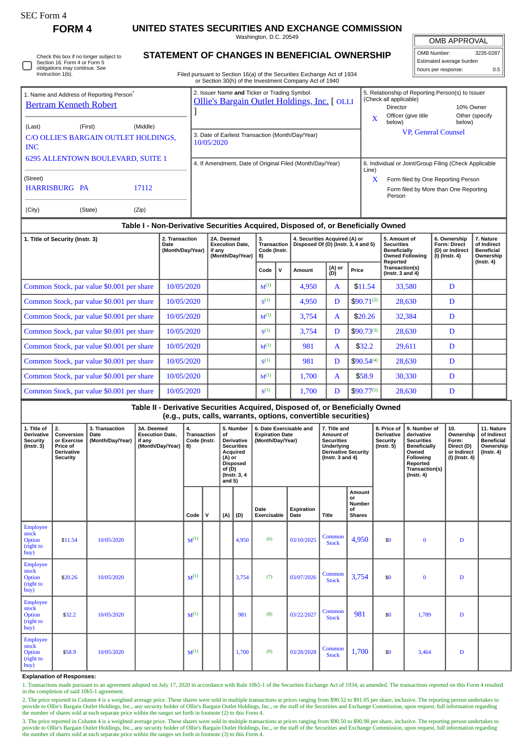Г

## **FORM 4 UNITED STATES SECURITIES AND EXCHANGE COMMISSION**

Washington, D.C. 20549

 $\overline{\mathbb{F}}$ OMB APPROVAL

| .                        |           |  |  |  |  |
|--------------------------|-----------|--|--|--|--|
| OMB Number:              | 3235-0287 |  |  |  |  |
| Estimated average burden |           |  |  |  |  |
| hours per response:      |           |  |  |  |  |

|  | Check this box if no longer subject to<br>Section 16. Form 4 or Form 5<br>obligations may continue. See<br>Instruction 1(b). |
|--|------------------------------------------------------------------------------------------------------------------------------|
|--|------------------------------------------------------------------------------------------------------------------------------|

## **STATEMENT OF CHANGES IN BENEFICIAL OWNERSHIP**

Filed pursuant to Section 16(a) of the Securities Exchange Act of 1934 or Section 30(h) of the Investment Company Act of 1940

| <b>Bertram Kenneth Robert</b>                                                    | 1. Name and Address of Reporting Person <sup>®</sup> |                | 2. Issuer Name and Ticker or Trading Symbol<br>Ollie's Bargain Outlet Holdings, Inc. [ OLLI |       | 5. Relationship of Reporting Person(s) to Issuer<br>(Check all applicable)<br>10% Owner<br>Director |                          |  |  |  |  |
|----------------------------------------------------------------------------------|------------------------------------------------------|----------------|---------------------------------------------------------------------------------------------|-------|-----------------------------------------------------------------------------------------------------|--------------------------|--|--|--|--|
| (Last)<br><b>INC</b>                                                             | (First)<br>C/O OLLIE'S BARGAIN OUTLET HOLDINGS,      | (Middle)       | 3. Date of Earliest Transaction (Month/Day/Year)<br>10/05/2020                              | X     | Officer (give title<br>below)<br><b>VP, General Counsel</b>                                         | Other (specify<br>below) |  |  |  |  |
| 6295 ALLENTOWN BOULEVARD, SUITE 1                                                |                                                      |                | 4. If Amendment, Date of Original Filed (Month/Day/Year)                                    | Line) | 6. Individual or Joint/Group Filing (Check Applicable                                               |                          |  |  |  |  |
| (Street)<br><b>HARRISBURG PA</b><br>(City)                                       | (State)                                              | 17112<br>(Zip) |                                                                                             | X     | Form filed by One Reporting Person<br>Form filed by More than One Reporting<br>Person               |                          |  |  |  |  |
| Table I - Non-Derivative Securities Acquired, Disposed of, or Beneficially Owned |                                                      |                |                                                                                             |       |                                                                                                     |                          |  |  |  |  |

| 1. Title of Security (Instr. 3)           | 2. Transaction<br>Date<br>(Month/Day/Year) | 2A. Deemed<br><b>Execution Date.</b><br>if any<br>(Month/Day/Year) | 3.<br><b>Transaction</b><br>Code (Instr.<br>8) |   | 4. Securities Acquired (A) or<br>Disposed Of (D) (Instr. 3, 4 and 5) |               |                | 5. Amount of<br><b>Securities</b><br><b>Beneficially</b><br><b>Owned Following</b><br>Reported | 6. Ownership<br><b>Form: Direct</b><br>(D) or Indirect<br>(I) (Instr. 4) | 7. Nature<br>of Indirect<br><b>Beneficial</b><br>Ownership<br>(Instr. 4) |
|-------------------------------------------|--------------------------------------------|--------------------------------------------------------------------|------------------------------------------------|---|----------------------------------------------------------------------|---------------|----------------|------------------------------------------------------------------------------------------------|--------------------------------------------------------------------------|--------------------------------------------------------------------------|
|                                           |                                            |                                                                    | $Code \vert$                                   | v | Amount                                                               | (A) or<br>(D) | Price          | Transaction(s)<br>(Instr. $3$ and $4$ )                                                        |                                                                          |                                                                          |
| Common Stock, par value \$0.001 per share | 10/05/2020                                 |                                                                    | $M^{(1)}$                                      |   | 4,950                                                                | $\mathbf{A}$  | \$11.54        | 33,580                                                                                         | D                                                                        |                                                                          |
| Common Stock, par value \$0.001 per share | 10/05/2020                                 |                                                                    | S <sup>(1)</sup>                               |   | 4,950                                                                | D             | $$90.71^{(2)}$ | 28,630                                                                                         | D                                                                        |                                                                          |
| Common Stock, par value \$0.001 per share | 10/05/2020                                 |                                                                    | $M^{(1)}$                                      |   | 3,754                                                                | $\mathbf{A}$  | \$20.26        | 32,384                                                                                         | D                                                                        |                                                                          |
| Common Stock, par value \$0.001 per share | 10/05/2020                                 |                                                                    | S <sup>(1)</sup>                               |   | 3,754                                                                | D             | $$90.73^{(3)}$ | 28,630                                                                                         | D                                                                        |                                                                          |
| Common Stock, par value \$0.001 per share | 10/05/2020                                 |                                                                    | $M^{(1)}$                                      |   | 981                                                                  | $\mathbf{A}$  | \$32.2         | 29,611                                                                                         | D                                                                        |                                                                          |
| Common Stock, par value \$0.001 per share | 10/05/2020                                 |                                                                    | S <sup>(1)</sup>                               |   | 981                                                                  | D             | $$90.54^{(4)}$ | 28,630                                                                                         | D                                                                        |                                                                          |
| Common Stock, par value \$0.001 per share | 10/05/2020                                 |                                                                    | $M^{(1)}$                                      |   | 1,700                                                                | $\mathbf{A}$  | \$58.9         | 30,330                                                                                         | D                                                                        |                                                                          |
| Common Stock, par value \$0.001 per share | 10/05/2020                                 |                                                                    | S <sup>(1)</sup>                               |   | 1,700                                                                | D             | $$90.77^{(5)}$ | 28,630                                                                                         | D                                                                        |                                                                          |

## **Table II - Derivative Securities Acquired, Disposed of, or Beneficially Owned (e.g., puts, calls, warrants, options, convertible securities)**

| 1. Title of<br><b>Derivative</b><br><b>Security</b><br>$($ lnstr. 3 $)$ | 2.<br>Conversion<br>or Exercise<br>Price of<br><b>Derivative</b><br><b>Security</b> | 3. Transaction<br>Date<br>(Month/Day/Year) | 3A. Deemed<br><b>Execution Date.</b><br>if any<br>(Month/Day/Year) | 4.<br><b>Transaction</b><br>Code (Instr.<br>8) |              | of<br>(A) or<br>of $(D)$<br>and $5)$ | 5. Number<br><b>Derivative</b><br><b>Securities</b><br>Acquired<br><b>Disposed</b><br>(Instr. 3, 4) | 6. Date Exercisable and<br><b>Expiration Date</b><br>(Month/Day/Year) | 7. Title and<br>Amount of<br><b>Securities</b><br>Underlying<br><b>Derivative Security</b><br>( $Instr. 3 and 4$ ) |                        | 8. Price of<br><b>Derivative</b><br>Security<br>$($ lnstr. 5 $)$ |     | 9. Number of<br>derivative<br><b>Securities</b><br><b>Beneficially</b><br>Owned<br>Following<br>Reported<br>Transaction(s)<br>$($ Instr. 4 $)$ | 10.<br>Ownership<br>Form:<br>Direct (D)<br>or Indirect<br>(I) (Instr. 4) | 11. Nature<br>of Indirect<br><b>Beneficial</b><br>Ownership<br>$($ lnstr. 4 $)$ |
|-------------------------------------------------------------------------|-------------------------------------------------------------------------------------|--------------------------------------------|--------------------------------------------------------------------|------------------------------------------------|--------------|--------------------------------------|-----------------------------------------------------------------------------------------------------|-----------------------------------------------------------------------|--------------------------------------------------------------------------------------------------------------------|------------------------|------------------------------------------------------------------|-----|------------------------------------------------------------------------------------------------------------------------------------------------|--------------------------------------------------------------------------|---------------------------------------------------------------------------------|
|                                                                         |                                                                                     |                                            |                                                                    | Code                                           | $\mathsf{v}$ | (A)                                  | (D)                                                                                                 | Date<br>Exercisable                                                   | Expiration<br>Date                                                                                                 | <b>Title</b>           | Amount<br>or<br><b>Number</b><br>of<br><b>Shares</b>             |     |                                                                                                                                                |                                                                          |                                                                                 |
| <b>Employee</b><br>stock<br>Option<br>(right to<br>buy)                 | \$11.54                                                                             | 10/05/2020                                 |                                                                    | $M^{(1)}$                                      |              |                                      | 4,950                                                                                               | (6)                                                                   | 03/10/2025                                                                                                         | Common<br><b>Stock</b> | 4,950                                                            | \$0 | $\bf{0}$                                                                                                                                       | D                                                                        |                                                                                 |
| Employee<br>stock<br>Option<br>(right to<br>buy)                        | \$20.26                                                                             | 10/05/2020                                 |                                                                    | $M^{(1)}$                                      |              |                                      | 3,754                                                                                               | (7)                                                                   | 03/07/2026                                                                                                         | Common<br><b>Stock</b> | 3,754                                                            | \$0 | $\bf{0}$                                                                                                                                       | D                                                                        |                                                                                 |
| <b>Employee</b><br>stock<br>Option<br>(right to<br>buy)                 | \$32.2                                                                              | 10/05/2020                                 |                                                                    | $M^{(1)}$                                      |              |                                      | 981                                                                                                 | (8)                                                                   | 03/22/2027                                                                                                         | Common<br><b>Stock</b> | 981                                                              | \$0 | 1,789                                                                                                                                          | D                                                                        |                                                                                 |
| <b>Employee</b><br>stock<br>Option<br>(right to<br>buy)                 | \$58.9                                                                              | 10/05/2020                                 |                                                                    | $M^{(1)}$                                      |              |                                      | 1,700                                                                                               | (9)                                                                   | 03/28/2028                                                                                                         | Common<br><b>Stock</b> | 1,700                                                            | \$0 | 3,464                                                                                                                                          | D                                                                        |                                                                                 |

**Explanation of Responses:**

1. Transactions made pursuant to an agreement adopted on July 17, 2020 in accordance with Rule 10b5-1 of the Securities Exchange Act of 1934, as amended. The transactions reported on this Form 4 resulted in the completion of said 10b5-1 agreement.

2. The price reported in Column 4 is a weighted average price. These shares were sold in multiple transactions at prices ranging from \$90.52 to \$91.05 per share, inclusive. The reporting person undertakes to provide to Ollie's Bargain Outlet Holdings, Inc., any security holder of Ollie's Bargain Outlet Holdings, Inc., or the staff of the Securities and Exchange Commission, upon request, full information regarding the number of shares sold at each separate price within the ranges set forth in footnote (2) to this Form 4.

3. The price reported in Column 4 is a weighted average price. These shares were sold in multiple transactions at prices ranging from \$90.50 to \$90.98 per share, inclusive. The reporting person undertakes to<br>provide to Oll